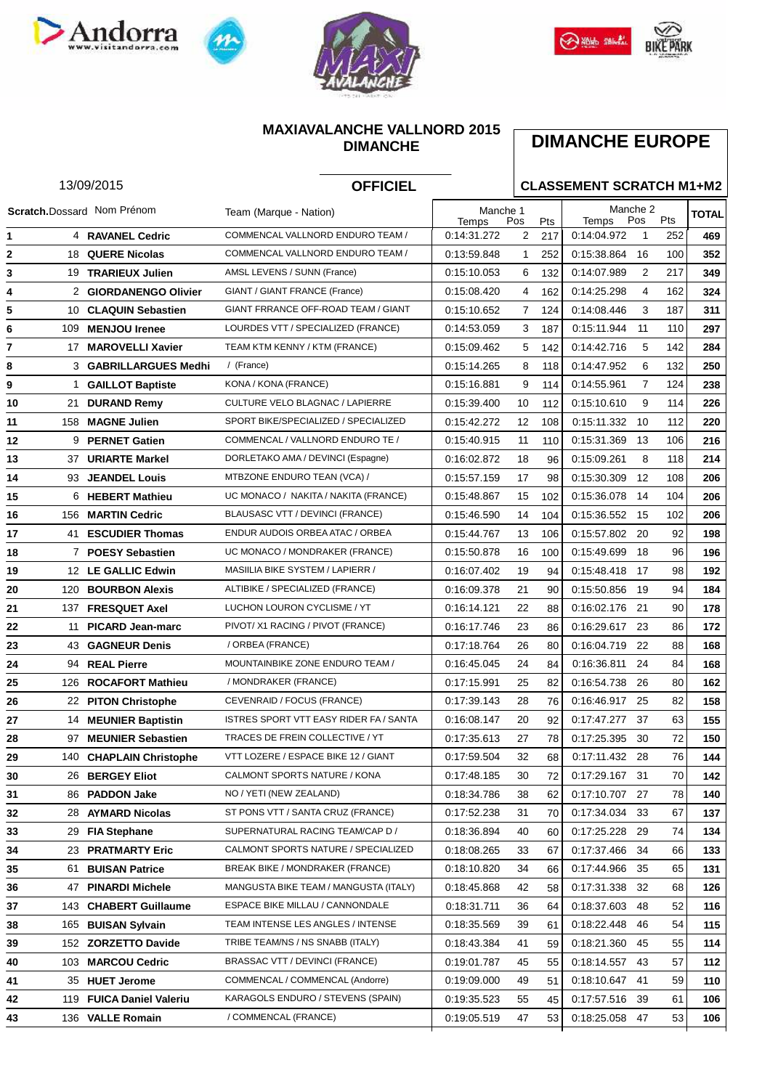







### **MAXIAVALANCHE VALLNORD 2015 DIMANCHE**

# **DIMANCHE EUROPE**

#### Manche 1 **TOTAL** Pos Pts Manche 2 Temps Pos Pts Temps Pos Pts 13/09/2015 **OFFICIEL CLASSEMENT SCRATCH M1+M2** Scratch.Dossard Nom Prénom Team (Marque - Nation) 4 COMMENCAL VALLNORD ENDURO TEAM / **RAVANEL Cedric** 0:14:31.272 2 217 0:14:04.972 1 252 **469** 18 QUERE Nicolas **2** COMMENCAL VALLNORD ENDURO TEAM / 0:13:59.848 1 252 0:15:38.864 16 100 352 COMMENCAL (France) 19 **TRARIEUX Julien** AMSL LEVENS / SUNN (France) 0:15:10.053 6 132 0:14:07.989 2 217 **349** 2 **GIORDANENGO Olivier** GIANT / GIANT FRANCE (France) 0:15:08.420 4 162 0:14:25.298 4 162 **324** 10 GIANT FRRANCE OFF-ROAD TEAM / GIANT **CLAQUIN Sebastien** 0:15:10.652 7 124 0:14:08.446 3 187 **311** (FRANCE) 109 **MENJOU Irenee** LOURDES VTT / SPECIALIZED (FRANCE) 0:14:53.059 3 187 0:15:11.944 11 110 **297** 17 **MAROVELLI Xavier** TEAM KTM KENNY / KTM (FRANCE) 0:15:09.462 5 142 0:14:42.716 5 142 **284** 3 **GABRILLARGUES Medhi** / (France) 0:15:14.265 8 118 0:14:47.952 6 132 **250** 1 **GAILLOT Baptiste** KONA / KONA (FRANCE) 0:15:16.881 9 114 0:14:55.961 7 124 **238** 21 CULTURE VELO BLAGNAC / LAPIERRE **DURAND Remy** 0:15:39.400 10 112 0:15:10.610 9 114 **226** (FRANCE) 158 SPORT BIKE/SPECIALIZED / SPECIALIZED **MAGNE Julien** 0:15:42.272 12 108 0:15:11.332 10 112 **220** 12 9 PERNET Gatien **12** COMMENCAL / VALLNORD ENDURO TE / 0:15:40.915 11 110 0:15:31.369 13 106 216 COMMENCAL (France) 37 **URIARTE Markel** DORLETAKO AMA / DEVINCI (Espagne) 0:16:02.872 18 96 0:15:09.261 8 118 **214** 93 MTBZONE ENDURO TEAN (VCA) / **JEANDEL Louis** 0:15:57.159 17 98 0:15:30.309 12 108 **206** MONDRAKER (FRANCE) 6 **HEBERT Mathieu** UC MONACO / NAKITA / NAKITA (FRANCE) 0:15:48.867 15 102 0:15:36.078 14 104 **206** 156 **MARTIN Cedric** BLAUSASC VTT / DEVINCI (FRANCE) 0:15:46.590 14 104 0:15:36.552 15 102 **206** 17 41 ESCUDIER Thomas ENDUR AUDOIS ORBEA ATAC / ORBEA  $\begin{bmatrix} 0.15:44.767 & 13 & 106 \end{bmatrix}$  0:15:57.802 20 92 198 (FRANCE) 7 **POESY Sebastien** UC MONACO / MONDRAKER (FRANCE) 0:15:50.878 16 100 0:15:49.699 18 96 **196** 12 MASIILIA BIKE SYSTEM / LAPIERR / **LE GALLIC Edwin** 0:16:07.402 19 94 0:15:48.418 17 98 **192** LAPIERRE (FRANCE) 120 **BOURBON Alexis** ALTIBIKE / SPECIALIZED (FRANCE) 0:16:09.378 21 90 0:15:50.856 19 94 **184** 137 LUCHON LOURON CYCLISME / YT **FRESQUET Axel** 0:16:14.121 22 88 0:16:02.176 21 90 **178** INDUSTRIES (FRANCE) 11 **PICARD Jean-marc** PIVOT/ X1 RACING / PIVOT (FRANCE) 0:16:17.746 23 86 0:16:29.617 23 86 **172** 43 **GAGNEUR Denis** / ORBEA (FRANCE) 0:17:18.764 26 80 0:16:04.719 22 88 **168** 94 MOUNTAINBIKE ZONE ENDURO TEAM / **REAL Pierre** 0:16:45.045 24 84 0:16:36.811 24 84 **168** MONDRAKER (FRANCE) 126 **ROCAFORT Mathieu** / MONDRAKER (FRANCE) 0:17:15.991 25 82 0:16:54.738 26 80 **162** 22 **PITON Christophe** CEVENRAID / FOCUS (FRANCE) 0:17:39.143 28 76 0:16:46.917 25 82 **158** 14 ISTRES SPORT VTT EASY RIDER FA / SANTA **MEUNIER Baptistin** 0:16:08.147 20 92 0:17:47.277 37 63 **155** 97 **MEUNIER Sebastien** TRACES DE FREIN COLLECTIVE / YT 0:17:35.613 27 78 0:17:25.395 30 72 150 140 **CHAPLAIN Christophe CONTITION CONTRIES ON A SET 12 / GIANT** 0:17:59.504 32 68 0:17:11.432 28 76 144 26 BERGEY Eliot CALMONT SPORTS NATURE / KONA 0:17:48.185 30 72 0:17:29.167 31 70 142 (FRANCE) 86 **PADDON Jake** NO / YETI (NEW ZEALAND) 0:18:34.786 38 62 0:17:10.707 27 78 **140** 28 **AYMARD Nicolas** ST PONS VTT / SANTA CRUZ (FRANCE) 0:17:52.238 31 70 0:17:34.034 33 67 **137** 29 SUPERNATURAL RACING TEAM/CAP D / **FIA Stephane** 0:18:36.894 40 60 0:17:25.228 29 74 **134** 23 **PRATMARTY Eric** CALMONT SPORTS NATURE / SPECIALIZED 0:18:08.265 33 67 0:17:37.466 34 66 **133** (FRANCE) 61 **BUISAN Patrice** BREAK BIKE / MONDRAKER (FRANCE) 0:18:10.820 34 66 0:17:44.966 35 65 **131** 47 **PINARDI Michele** MANGUSTA BIKE TEAM / MANGUSTA (ITALY) 0:18:45.868 42 58 0:17:31.338 32 68 **126** 143 ESPACE BIKE MILLAU / CANNONDALE **CHABERT Guillaume** 0:18:31.711 36 64 0:18:37.603 48 52 **116** (FRANCE) 165 TEAM INTENSE LES ANGLES / INTENSE **BUISAN Sylvain** 0:18:35.569 39 61 0:18:22.448 46 54 **115** (FRANCE) 152 **ZORZETTO Davide** TRIBE TEAM/NS / NS SNABB (ITALY) 0:18:43.384 41 59 0:18:21.360 45 55 **114** 103 **MARCOU Cedric** BRASSAC VTT / DEVINCI (FRANCE) 0:19:01.787 45 55 0:18:14.557 43 57 **112** 35 **HUET Jerome** COMMENCAL / COMMENCAL (Andorre) 0:19:09.000 49 51 0:18:10.647 41 59 **110**

 119 **FUICA Daniel Valeriu** KARAGOLS ENDURO / STEVENS (SPAIN) 0:19:35.523 55 45 0:17:57.516 39 61 **106** 136 **VALLE Romain** / COMMENCAL (FRANCE) 0:19:05.519 47 53 0:18:25.058 47 53 **106**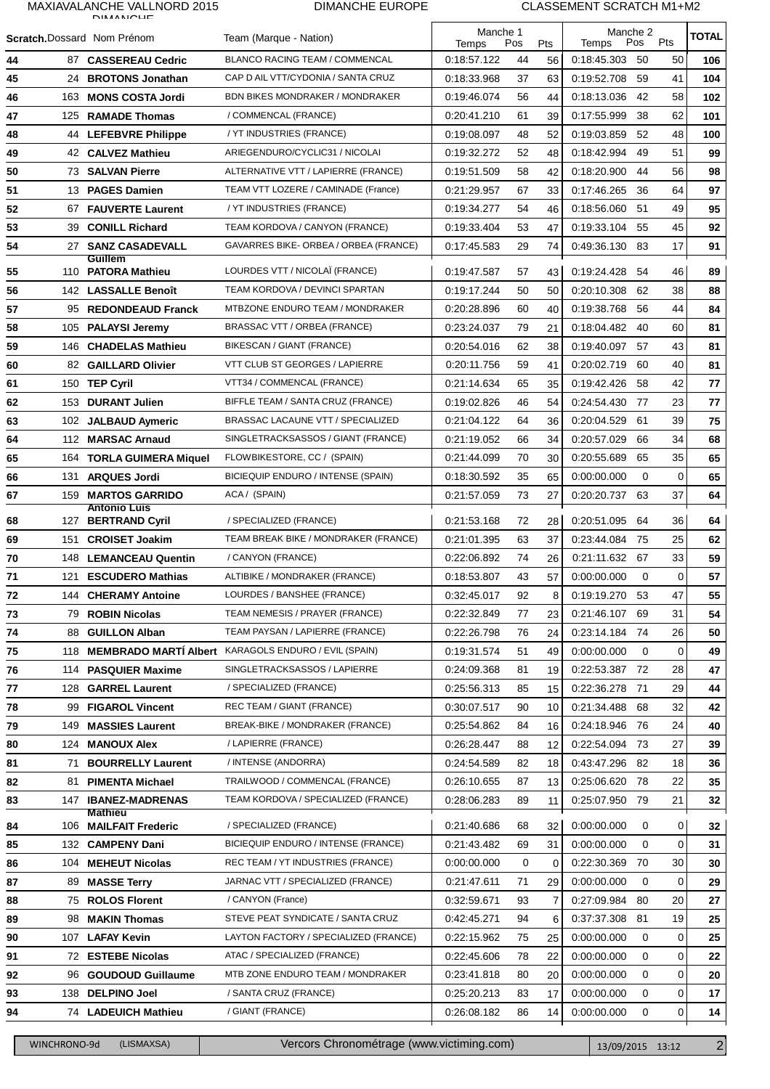## MAXIAVALANCHE VALLNORD 2015

#### DIMANCHE EUROPE CLASSEMENT SCRATCH M1+M2

|            |                                    | <b>DIMANICUE</b>                          |                                                                          | Manche 1                   |         | Manche 2 |                  |            |         |              |
|------------|------------------------------------|-------------------------------------------|--------------------------------------------------------------------------|----------------------------|---------|----------|------------------|------------|---------|--------------|
|            | <b>Scratch.</b> Dossard Nom Prénom |                                           | Team (Marque - Nation)                                                   | Pos<br>Temps               |         | Pts      | Temps            | Pts<br>Pos |         | <b>TOTAL</b> |
| 44         |                                    | 87 CASSEREAU Cedric                       | BLANCO RACING TEAM / COMMENCAL                                           | 0:18:57.122                | 44      | 56       | 0:18:45.303      | - 50       | 50      | 106          |
| 45         |                                    | 24 BROTONS Jonathan                       | CAP D AIL VTT/CYDONIA / SANTA CRUZ                                       | 0:18:33.968                | 37      | 63       | 0:19:52.708      | 59         | 41      | 104          |
| 46         |                                    | 163 MONS COSTA Jordi                      | <b>BDN BIKES MONDRAKER / MONDRAKER</b>                                   | 0:19:46.074                | 56      | 44       | 0.18.13.036      | - 42       | 58      | 102          |
| 47         |                                    | 125 RAMADE Thomas                         | / COMMENCAL (FRANCE)                                                     | 0:20:41.210                | 61      | 39       | 0:17:55.999      | 38         | 62      | 101          |
| 48         |                                    | 44 LEFEBVRE Philippe                      | / YT INDUSTRIES (FRANCE)                                                 | 0:19:08.097                | 48      | 52       | 0:19:03.859      | 52         | 48      | 100          |
| 49         |                                    | 42 CALVEZ Mathieu                         | ARIEGENDURO/CYCLIC31 / NICOLAI                                           | 0:19:32.272                | 52      | 48       | 0:18:42.994      | 49         | 51      | 99           |
| 50         |                                    | 73 SALVAN Pierre                          | ALTERNATIVE VTT / LAPIERRE (FRANCE)                                      | 0:19:51.509                | 58      | 42       | 0:18:20.900      | 44         | 56      | 98           |
| 51         |                                    | 13 PAGES Damien                           | TEAM VTT LOZERE / CAMINADE (France)                                      | 0:21:29.957                | 67      | 33       | 0:17:46.265      | -36        | 64      | 97           |
| 52         |                                    | 67 FAUVERTE Laurent                       | / YT INDUSTRIES (FRANCE)                                                 | 0:19:34.277                | 54      | 46       | 0:18:56.060      | -51        | 49      | 95           |
| 53         |                                    | 39 CONILL Richard                         | TEAM KORDOVA / CANYON (FRANCE)                                           | 0:19:33.404                | 53      | 47       | 0:19:33.104 55   |            | 45      | 92           |
| 54         | 27                                 | <b>SANZ CASADEVALL</b>                    | GAVARRES BIKE- ORBEA / ORBEA (FRANCE)                                    | 0:17:45.583                | 29      | 74       | 0.49.36.130 83   |            | 17      | 91           |
|            |                                    | Guillem                                   | LOURDES VTT / NICOLAÏ (FRANCE)                                           |                            |         |          |                  |            | 46      |              |
| 55         |                                    | 110 PATORA Mathieu                        | TEAM KORDOVA / DEVINCI SPARTAN                                           | 0:19:47.587                | 57      | 43       | 0:19:24.428 54   |            |         | 89           |
| 56         |                                    | 142 LASSALLE Benoît                       |                                                                          | 0:19:17.244                | 50      | 50       | 0:20:10.308      | - 62       | 38      | 88           |
| 57         |                                    | 95 REDONDEAUD Franck                      | MTBZONE ENDURO TEAM / MONDRAKER                                          | 0:20:28.896                | 60      | 40       | 0:19:38.768      | 56         | 44      | 84           |
| 58         | 105                                | <b>PALAYSI Jeremy</b>                     | BRASSAC VTT / ORBEA (FRANCE)                                             | 0:23:24.037                | 79      | 21       | 0:18:04.482 40   |            | 60      | 81           |
| 59         | 146                                | <b>CHADELAS Mathieu</b>                   | BIKESCAN / GIANT (FRANCE)                                                | 0:20:54.016                | 62      | 38       | 0:19:40.097 57   |            | 43      | 81           |
| 60         |                                    | 82 GAILLARD Olivier                       | VTT CLUB ST GEORGES / LAPIERRE                                           | 0:20:11.756                | 59      | 41       | 0:20:02.719      | - 60       | 40      | 81           |
| 61         |                                    | 150 TEP Cyril                             | VTT34 / COMMENCAL (FRANCE)                                               | 0:21:14.634                | 65      | 35       | 0:19:42.426 58   |            | 42      | 77           |
| 62         | 153                                | <b>DURANT Julien</b>                      | BIFFLE TEAM / SANTA CRUZ (FRANCE)                                        | 0:19:02.826                | 46      | 54       | 0:24:54.430 77   |            | 23      | 77           |
| 63         | 102                                | <b>JALBAUD Aymeric</b>                    | BRASSAC LACAUNE VTT / SPECIALIZED                                        | 0:21:04.122                | 64      | 36       | 0:20:04.529      | - 61       | 39      | 75           |
| 64         |                                    | 112 MARSAC Arnaud                         | SINGLETRACKSASSOS / GIANT (FRANCE)                                       | 0:21:19.052                | 66      | 34       | 0.20.57.029      | 66         | 34      | 68           |
| 65         |                                    | 164 TORLA GUIMERA Miquel                  | FLOWBIKESTORE, CC / (SPAIN)                                              | 0:21:44.099                | 70      | 30       | 0:20:55.689      | 65         | 35      | 65           |
| 66         | 131                                | <b>ARQUES Jordi</b>                       | BICIEQUIP ENDURO / INTENSE (SPAIN)                                       | 0:18:30.592                | 35      | 65       | 0:00:00.000      | 0          | 0       | 65           |
| 67         |                                    | 159 MARTOS GARRIDO<br><b>Antonio Luis</b> | ACA / (SPAIN)                                                            | 0:21:57.059                | 73      | 27       | 0:20:20.737      | 63         | 37      | 64           |
| 68         | 127                                | <b>BERTRAND Cyril</b>                     | / SPECIALIZED (FRANCE)                                                   | 0:21:53.168                | 72      | 28       | 0:20:51.095 64   |            | 36      | 64           |
| 69         | 151                                | <b>CROISET Joakim</b>                     | TEAM BREAK BIKE / MONDRAKER (FRANCE)                                     | 0:21:01.395                | 63      | 37       | 0:23:44.084 75   |            | 25      | 62           |
| 70         |                                    | 148 LEMANCEAU Quentin                     | / CANYON (FRANCE)                                                        | 0:22:06.892                | 74      | 26       | 0:21:11.632 67   |            | 33      | 59           |
| 71         |                                    | 121 ESCUDERO Mathias                      | ALTIBIKE / MONDRAKER (FRANCE)                                            | 0:18:53.807                | 43      | 57       | 0:00:00.000      | 0          | 0       | 57           |
| ${\bf 72}$ |                                    | 144 CHERAMY Antoine                       | LOURDES / BANSHEE (FRANCE)                                               | 0:32:45.017                | 92      |          | 8 0:19:19.270 53 |            | 47      | 55           |
| 73         |                                    | 79 ROBIN Nicolas                          | TEAM NEMESIS / PRAYER (FRANCE)                                           | 0:22:32.849                | 77      | 23       | 0:21:46.107 69   |            | 31      | 54           |
| 74         | 88                                 | <b>GUILLON Alban</b>                      | TEAM PAYSAN / LAPIERRE (FRANCE)                                          | 0:22:26.798                | 76      | 24       | 0:23:14.184 74   |            | 26      | 50           |
| 75         |                                    |                                           | 118 MEMBRADO MARTÍ Albert KARAGOLS ENDURO / EVIL (SPAIN)                 | 0.19.31.574                | 51      | 49       | 0:00:00.000      | 0          | 0       | 49           |
| 76         | 114                                | <b>PASQUIER Maxime</b>                    | SINGLETRACKSASSOS / LAPIERRE                                             | 0:24:09.368                | 81      | 19       | 0:22:53.387 72   |            | 28      | 47           |
| 77         | 128                                | <b>GARREL Laurent</b>                     | / SPECIALIZED (FRANCE)                                                   | 0:25:56.313                | 85      | 15       | 0:22:36.278      | - 71       | 29      | 44           |
| 78         |                                    | 99 FIGAROL Vincent                        | REC TEAM / GIANT (FRANCE)                                                | 0:30:07.517                | 90      | 10       | 0:21:34.488 68   |            | 32      | 42           |
| 79         | 149                                | <b>MASSIES Laurent</b>                    | BREAK-BIKE / MONDRAKER (FRANCE)                                          | 0:25:54.862                | 84      | 16       | 0:24:18.946 76   |            | 24      | 40           |
| 80         |                                    | 124 MANOUX Alex                           | / LAPIERRE (FRANCE)                                                      | 0:26:28.447                | 88      | 12       | 0:22:54.094 73   |            | 27      | 39           |
| 81         | 71                                 | <b>BOURRELLY Laurent</b>                  | / INTENSE (ANDORRA)                                                      | 0:24:54.589                | 82      | 18       | 0:43:47.296 82   |            | 18      | 36           |
| 82         | 81                                 | <b>PIMENTA Michael</b>                    | TRAILWOOD / COMMENCAL (FRANCE)                                           | 0:26:10.655                | 87      | 13       | 0:25:06.620 78   |            | 22      | 35           |
| 83         | 147                                | <b>IBANEZ-MADRENAS</b>                    | TEAM KORDOVA / SPECIALIZED (FRANCE)                                      | 0:28:06.283                | 89      | 11       | 0:25:07.950 79   |            | 21      | 32           |
|            |                                    | <b>Mathieu</b><br>106 MAILFAIT Frederic   | / SPECIALIZED (FRANCE)                                                   | 0:21:40.686                | 68      | 32       | 0:00:00.000      | 0          | 0       |              |
| 84         |                                    |                                           |                                                                          |                            |         |          |                  |            |         | 32           |
| 85         |                                    | 132 CAMPENY Dani<br>104 MEHEUT Nicolas    | BICIEQUIP ENDURO / INTENSE (FRANCE)<br>REC TEAM / YT INDUSTRIES (FRANCE) | 0:21:43.482<br>0:00:00.000 | 69<br>0 | 31       | 0:00:00.000      | 0<br>-70   | 0<br>30 | 31<br>30     |
| 86         |                                    |                                           |                                                                          |                            |         | 0        | 0:22:30.369      |            |         |              |
| 87         | 89                                 | <b>MASSE Terry</b>                        | JARNAC VTT / SPECIALIZED (FRANCE)<br>/ CANYON (France)                   | 0:21:47.611                | 71      | 29       | 0:00:00.000      | 0          | 0       | 29           |
| 88         |                                    | 75 ROLOS Florent                          |                                                                          | 0:32:59.671                | 93      | 7        | 0:27:09.984 80   |            | 20      | 27           |
| 89         | 98                                 | <b>MAKIN Thomas</b>                       | STEVE PEAT SYNDICATE / SANTA CRUZ                                        | 0:42:45.271                | 94      | 6        | 0:37:37.308 81   |            | 19      | 25           |
| 90         | 107                                | <b>LAFAY Kevin</b>                        | LAYTON FACTORY / SPECIALIZED (FRANCE)                                    | 0:22:15.962                | 75      | 25       | 0:00:00.000      | 0          | 0       | 25           |
| 91         |                                    | 72 ESTEBE Nicolas                         | ATAC / SPECIALIZED (FRANCE)                                              | 0:22:45.606                | 78      | 22       | 0:00:00.000      | 0          | 0       | 22           |
| 92         | 96                                 | <b>GOUDOUD Guillaume</b>                  | MTB ZONE ENDURO TEAM / MONDRAKER                                         | 0:23:41.818                | 80      | 20       | 0:00:00.000      | 0          | 0       | 20           |
| 93         | 138                                | <b>DELPINO Joel</b>                       | / SANTA CRUZ (FRANCE)                                                    | 0:25:20.213                | 83      | 17       | 0:00:00.000      | 0          | 0       | 17           |
| 94         |                                    | 74 LADEUICH Mathieu                       | / GIANT (FRANCE)                                                         | 0:26:08.182                | 86      | 14       | 0:00:00.000      | 0          | 0       | 14           |

WINCHRONO-9d (LISMAXSA) Vercors Chronométrage (www.victiming.com) 13/09/2015 13:12 2